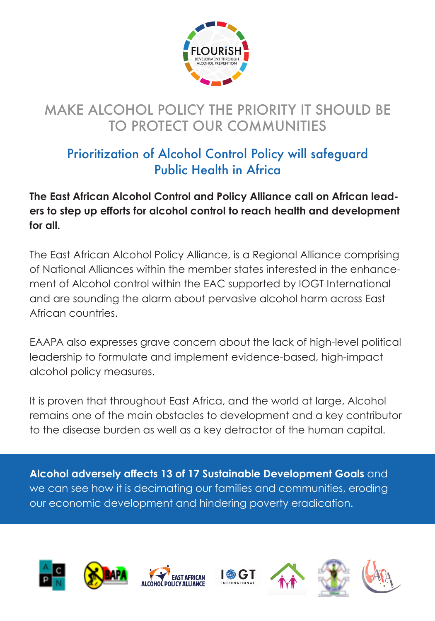

## MAKE ALCOHOL POLICY THE PRIORITY IT SHOULD BE TO PROTECT OUR COMMUNITIES

## Prioritization of Alcohol Control Policy will safeguard Public Health in Africa

**The East African Alcohol Control and Policy Alliance call on African leaders to step up efforts for alcohol control to reach health and development for all.**

The East African Alcohol Policy Alliance, is a Regional Alliance comprising of National Alliances within the member states interested in the enhancement of Alcohol control within the EAC supported by IOGT International and are sounding the alarm about pervasive alcohol harm across East African countries.

EAAPA also expresses grave concern about the lack of high-level political leadership to formulate and implement evidence-based, high-impact alcohol policy measures.

remains one of the main obstacles to development and a key contributor to the disease burden as well as a key detractor of the human capital. It is proven that throughout East Africa, and the world at large, Alcohol

**Alcohol adversely affects 13 of 17 Sustainable Development Goals** and we can see how it is decimating our families and communities, eroding our economic development and hindering poverty eradication.













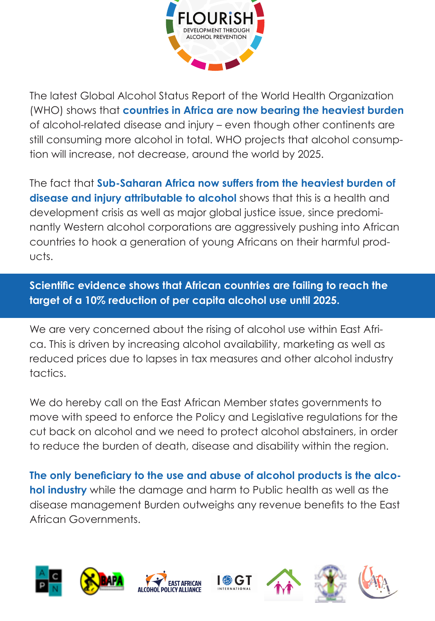

The latest Global Alcohol Status Report of the World Health Organization (WHO) shows that **countries in Africa are now bearing the heaviest burden**  of alcohol-related disease and injury – even though other continents are still consuming more alcohol in total. WHO projects that alcohol consumption will increase, not decrease, around the world by 2025.

The fact that **Sub-Saharan Africa now suffers from the heaviest burden of disease and injury attributable to alcohol** shows that this is a health and development crisis as well as major global justice issue, since predominantly Western alcohol corporations are aggressively pushing into African countries to hook a generation of young Africans on their harmful products.

target of a 10% reduction of per capita alcohol use u<mark>ntil</mark> 2025. **Scientific evidence shows that African countries are failing to reach the** 

We are very concerned about the rising of alcohol use within East Africa. This is driven by increasing alcohol availability, marketing as well as reduced prices due to lapses in tax measures and other alcohol industry tactics.

cut back on alcohol and we need to protect alcohol abstainers, in order to reduce the burden of death, disease and disability within the region. We do hereby call on the East African Member states governments to move with speed to enforce the Policy and Legislative regulations for the

**The only beneficiary to the use and abuse of alcohol products is the alcohol industry** while the damage and harm to Public health as well as the disease management Burden outweighs any revenue benefits to the East African Governments.